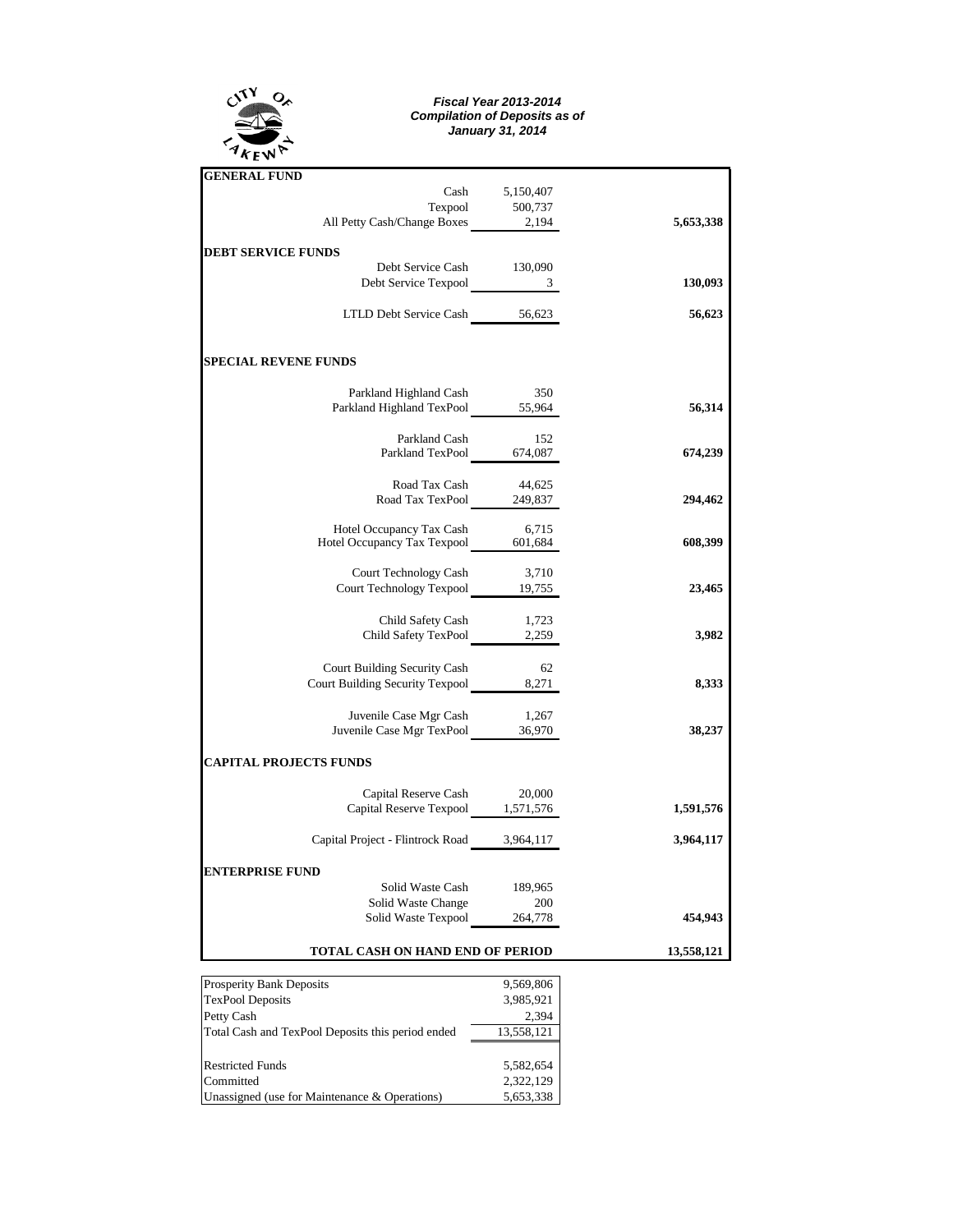

## *Fiscal Year 2013-2014 Compilation of Deposits as of January 31, 2014*

| <b>GENERAL FUND</b>                                                   |                |            |
|-----------------------------------------------------------------------|----------------|------------|
|                                                                       | Cash 5,150,407 |            |
|                                                                       |                |            |
| Texpool 500,737<br>All Petty Cash/Change Boxes 2,194                  |                | 5,653,338  |
| <b>DEBT SERVICE FUNDS</b>                                             |                |            |
| Debt Service Cash 130,090                                             |                |            |
| Debt Service Texpool 3                                                |                | 130,093    |
| LTLD Debt Service Cash 56,623                                         |                | 56,623     |
| <b>SPECIAL REVENE FUNDS</b>                                           |                |            |
| Parkland Highland Cash                                                | 350            |            |
| Parkland Highland TexPool 55,964                                      |                | 56,314     |
| Parkland Cash                                                         | 152            |            |
| Parkland TexPool 674,087                                              |                | 674,239    |
|                                                                       |                |            |
| Road Tax Cash<br>$44,625$<br>Road Tax TexPool<br>249,837              |                | 294,462    |
|                                                                       |                |            |
| Hotel Occupancy Tax Cash 6,715<br>Hotel Occupancy Tax Texpool 601,684 |                | 608,399    |
| Court Technology Cash 3,710<br>Court Technology Texpool 19,755        |                |            |
|                                                                       |                | 23,465     |
| Child Safety Cash                                                     | 1,723          |            |
| Child Safety TexPool 2,259                                            |                | 3,982      |
| Court Building Security Cash                                          | 62             |            |
|                                                                       |                | 8,333      |
| Juvenile Case Mgr Cash                                                | 1,267          |            |
| Juvenile Case Mgr TexPool 36,970                                      |                | 38,237     |
| <b>CAPITAL PROJECTS FUNDS</b>                                         |                |            |
| Capital Reserve Cash                                                  | 20,000         |            |
| Capital Reserve Texpool 1,571,576                                     |                | 1,591,576  |
| Capital Project - Flintrock Road 3,964,117                            |                | 3,964,117  |
| <b>ENTERPRISE FUND</b>                                                |                |            |
| Solid Waste Cash                                                      | 189,965        |            |
|                                                                       |                |            |
| Solid Waste Change 200<br>Solid Waste Texpool 264,778                 |                | 454,943    |
| TOTAL CASH ON HAND END OF PERIOD                                      |                | 13,558,121 |

| <b>Prosperity Bank Deposits</b>                   | 9,569,806  |  |  |  |  |
|---------------------------------------------------|------------|--|--|--|--|
| <b>TexPool Deposits</b>                           | 3,985,921  |  |  |  |  |
| Petty Cash                                        | 2.394      |  |  |  |  |
| Total Cash and TexPool Deposits this period ended | 13,558,121 |  |  |  |  |
|                                                   |            |  |  |  |  |
| <b>Restricted Funds</b>                           | 5,582,654  |  |  |  |  |
| Committed                                         | 2,322,129  |  |  |  |  |
| Unassigned (use for Maintenance & Operations)     | 5,653,338  |  |  |  |  |